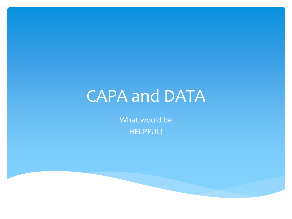# CAPA and DATA

What would be HELPFUL!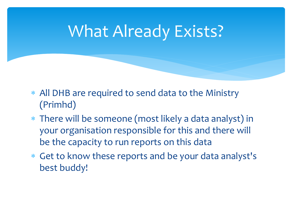# What Already Exists?

- ∗ All DHB are required to send data to the Ministry (Primhd)
- ∗ There will be someone (most likely a data analyst) in your organisation responsible for this and there will be the capacity to run reports on this data
- ∗ Get to know these reports and be your data analyst's best buddy!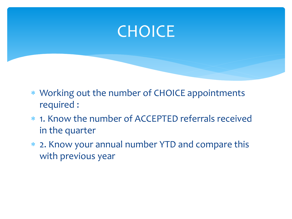### **CHOICE**

- ∗ Working out the number of CHOICE appointments required :
- ∗ 1. Know the number of ACCEPTED referrals received in the quarter
- ∗ 2. Know your annual number YTD and compare this with previous year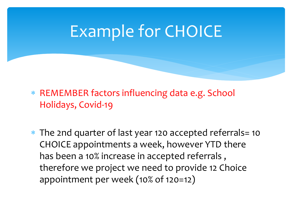# Example for CHOICE

∗ REMEMBER factors influencing data e.g. School Holidays, Covid-19

∗ The 2nd quarter of last year 120 accepted referrals= 10 CHOICE appointments a week, however YTD there has been a 10% increase in accepted referrals , therefore we project we need to provide 12 Choice appointment per week (10% of 120=12)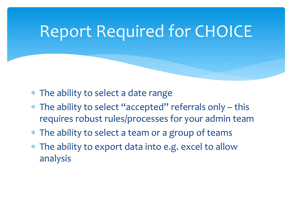# Report Required for CHOICE

- ∗ The ability to select a date range
- ∗ The ability to select "accepted" referrals only this requires robust rules/processes for your admin team
- ∗ The ability to select a team or a group of teams
- ∗ The ability to export data into e.g. excel to allow analysis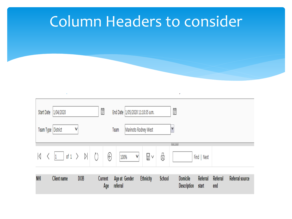### Column Headers to consider

| Start Date | 1/04/2020            |     |           | Ë |                | End Date  1/05/2020 11:10:35 a.m. |   |                      |        | Ë                                     |                   |                 |                        |
|------------|----------------------|-----|-----------|---|----------------|-----------------------------------|---|----------------------|--------|---------------------------------------|-------------------|-----------------|------------------------|
|            | Team Type District   | ٧   |           |   |                | Team                              |   | Marinoto Rodney West |        | ٧                                     |                   |                 |                        |
| K          | of 1 $\left.\right>$ |     | $\rangle$ |   | €              | 100%                              | ٧ | $\boxplus$ $\vee$    | 6      | $\mathbf{A}$                          | Find   Next       |                 |                        |
| <b>NHI</b> | <b>Client name</b>   | DOB |           |   | Current<br>Age | Age at Gender<br>referral         |   | <b>Ethnicity</b>     | School | <b>Domicile</b><br><b>Description</b> | Referral<br>start | Referral<br>end | <b>Referral source</b> |

 $\mathcal{L}$ 

and the control of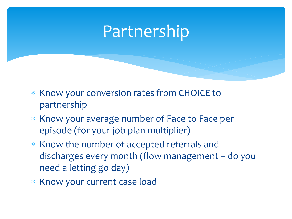### Partnership

- ∗ Know your conversion rates from CHOICE to partnership
- ∗ Know your average number of Face to Face per episode (for your job plan multiplier)
- ∗ Know the number of accepted referrals and discharges every month (flow management – do you need a letting go day)
- ∗ Know your current case load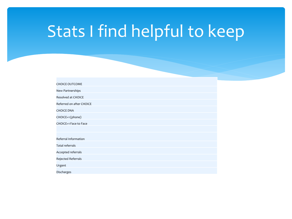# Stats I find helpful to keep

| <b>CHOICE OUTCOME</b>    |
|--------------------------|
| New Partnerships         |
| Resolved at CHOICE       |
| Referred on after CHOICE |
| <b>CHOICE DNA</b>        |
| CHOICE+1 (phone)         |
| CHOICE+1 Face to Face    |
|                          |
| Referral Information     |
| Total referrals          |
| Accepted referrals       |
| Rejected Referrals       |
| Urgent                   |
| Discharges               |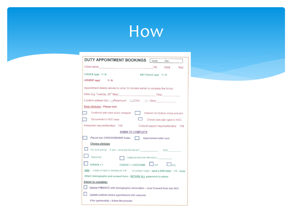

| <b>DUTY APPOINTMENT BOOKINGS</b>                                                    | Initials:               | Date:                                |     |  |  |  |  |  |  |
|-------------------------------------------------------------------------------------|-------------------------|--------------------------------------|-----|--|--|--|--|--|--|
| Client name: <b>Client</b> name:                                                    | Yth                     | Child                                | Rod |  |  |  |  |  |  |
| CHOICE appt Y/N                                                                     | ABT Choice appt Y/N     |                                      |     |  |  |  |  |  |  |
| URGENT appt Y/N                                                                     |                         |                                      |     |  |  |  |  |  |  |
| Appointment details (advise to come 10 minutes earlier to complete the forms)       |                         |                                      |     |  |  |  |  |  |  |
| Date (e.g. Tuesday, 20 <sup>th</sup> May): Time: Time:                              |                         |                                      |     |  |  |  |  |  |  |
| Location (please tick): Paramount C CHU C Other                                     |                         |                                      |     |  |  |  |  |  |  |
| Duty clinician - Please tick:                                                       |                         |                                      |     |  |  |  |  |  |  |
| Confirmed with client and/or caregiver                                              |                         | Entered into Outlook choice and sent |     |  |  |  |  |  |  |
| Documented in HCC notes                                                             |                         | Choice care plan open in HCC         |     |  |  |  |  |  |  |
| Interpreter required/booked Y/N                                                     |                         | Cultural support required/booked Y/N |     |  |  |  |  |  |  |
| <b>ADMIN TO COMPLETE</b>                                                            |                         |                                      |     |  |  |  |  |  |  |
| Placed into CHOICE/URGENT folder<br><b>TELESCOPE</b>                                | Appointment letter sent |                                      |     |  |  |  |  |  |  |
| Choice clinician                                                                    |                         |                                      |     |  |  |  |  |  |  |
| Acc in to p/ship If yes - what are the issues? KW                                   |                         |                                      |     |  |  |  |  |  |  |
| Resolved<br>Inappropriate and referred to                                           |                         |                                      |     |  |  |  |  |  |  |
| CHOICE + 1 OUTCOME<br>$CHOICE + 1$                                                  | F2F                     | P/C                                  |     |  |  |  |  |  |  |
| DNA - made contact to reschedule Y/N no contact made - send a DNA letter Y/N -close |                         |                                      |     |  |  |  |  |  |  |
| Attach demographic and consent form - RETURN ALL paperwork to admin                 |                         |                                      |     |  |  |  |  |  |  |
| Admin to complete:                                                                  |                         |                                      |     |  |  |  |  |  |  |
| Update PIMS/HCC with demographic information - scan Consent form into HCC           |                         |                                      |     |  |  |  |  |  |  |
| Update outlook choice appointment with outcome                                      |                         |                                      |     |  |  |  |  |  |  |
| If for partnership - follow the process                                             |                         |                                      |     |  |  |  |  |  |  |

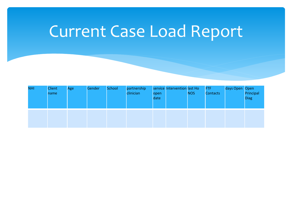# Current Case Load Report

| <b>NHI</b> | <b>Client</b><br>name | Age | Gender | School | partnership<br>clinician | open<br>date | service Intervention last Ho | <b>NOS</b> | FTF<br><b>Contacts</b> | days Open Open | Principal<br><b>Diag</b> |
|------------|-----------------------|-----|--------|--------|--------------------------|--------------|------------------------------|------------|------------------------|----------------|--------------------------|
|            |                       |     |        |        |                          |              |                              |            |                        |                |                          |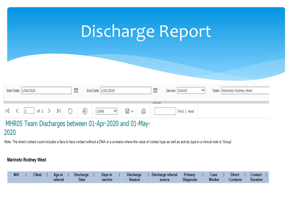|                                        | Discharge Report                                                                        |
|----------------------------------------|-----------------------------------------------------------------------------------------|
| Start Date 1/04/2020                   | 崮<br>霝<br>Service District<br>End Date 1/05/2020<br>v<br>Team   Marinoto Rodney West    |
| $\triangleright$<br>of 1 $\rightarrow$ | <b>Contract Contract</b><br>6<br>⊝<br>$\boxplus$ $\backsim$<br>100%<br>v<br>Find   Next |

### MHR05 Team Discharges between 01-Apr-2020 and 01-May-2020

Note: The direct contact count includes a face to face contact without a DNA or a scneario where the value of contact type as well as activity type in a clinical note is 'Group'

### **Marinoto Rodney West**

| $NHI \div I$ |  | Client $\div$ Age at $\div$ | Discharge $\div$ | Days in $\div$ |        | Discharge : Discharge referral Primary : Case : Direct : Contact : |                  |        |          |                 |  |
|--------------|--|-----------------------------|------------------|----------------|--------|--------------------------------------------------------------------|------------------|--------|----------|-----------------|--|
|              |  | <b>referral</b>             | <b>Date</b>      | service        | Reason | source                                                             | <b>Diagnosis</b> | Worker | Contacts | <b>Duration</b> |  |